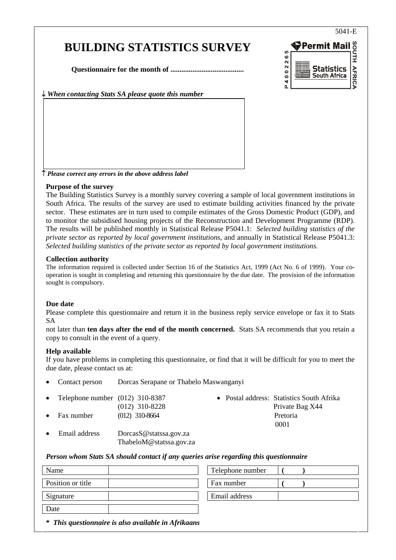# **BUILDING STATISTICS SURVEY**

**Questionnaire for the month of ........................................** 

↓ *When contacting Stats SA please quote this number*



↑ *Please correct any errors in the above address label*

### **Purpose of the survey**

The Building Statistics Survey is a monthly survey covering a sample of local government institutions in South Africa. The results of the survey are used to estimate building activities financed by the private sector. These estimates are in turn used to compile estimates of the Gross Domestic Product (GDP), and to monitor the subsidised housing projects of the Reconstruction and Development Programme (RDP). The results will be published monthly in Statistical Release P5041.1: *Selected building statistics of the private sector as reported by local government institutions*, and annually in Statistical Release P5041.3: *Selected building statistics of the private sector as reported by local government institutions.* 

#### **Collection authority**

The information required is collected under Section 16 of the Statistics Act, 1999 (Act No. 6 of 1999). Your cooperation is sought in completing and returning this questionnaire by the due date. The provision of the information sought is compulsory.

### **Due date**

Please complete this questionnaire and return it in the business reply service envelope or fax it to Stats SA

not later than **ten days after the end of the month concerned.** Stats SA recommends that you retain a copy to consult in the event of a query.

### **Help available**

If you have problems in completing this questionnaire, or find that it will be difficult for you to meet the due date, please contact us at:

|           | • Contact person                    | Dorcas Serapane or Thabelo Maswanganyi |  |  |                                           |
|-----------|-------------------------------------|----------------------------------------|--|--|-------------------------------------------|
|           | • Telephone number $(012)$ 310-8387 |                                        |  |  | • Postal address: Statistics South Afrika |
|           |                                     | $(012)$ 310-8228                       |  |  | Private Bag X44                           |
| $\bullet$ | Fax number                          | $(012)$ 310-8664                       |  |  | Pretoria                                  |
|           |                                     |                                        |  |  | 0001                                      |
| $\bullet$ | Email address                       | DorcasS@statssa.gov.za                 |  |  |                                           |

### *Person whom Stats SA should contact if any queries arise regarding this questionnaire*

ThabeloM@statssa.gov.za

| Name                                                | Telephone number |  |
|-----------------------------------------------------|------------------|--|
| Position or title                                   | Fax number       |  |
| Signature                                           | Email address    |  |
| Date                                                |                  |  |
| * This questionnaire is also available in Afrikaans |                  |  |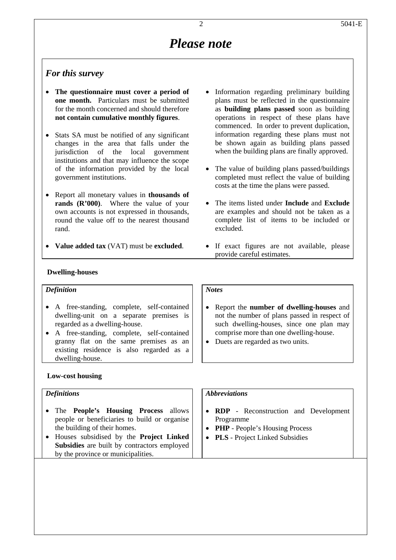# *Please note*

# *For this survey*

- **The questionnaire must cover a period of one month.** Particulars must be submitted for the month concerned and should therefore **not contain cumulative monthly figures**.
- Stats SA must be notified of any significant changes in the area that falls under the jurisdiction of the local government institutions and that may influence the scope of the information provided by the local government institutions.
- Report all monetary values in **thousands of rands (R'000)**. Where the value of your own accounts is not expressed in thousands, round the value off to the nearest thousand rand.
- **Value added tax** (VAT) must be **excluded**.
- Information regarding preliminary building plans must be reflected in the questionnaire as **building plans passed** soon as building operations in respect of these plans have commenced. In order to prevent duplication, information regarding these plans must not be shown again as building plans passed when the building plans are finally approved.
- The value of building plans passed/buildings completed must reflect the value of building costs at the time the plans were passed.
- The items listed under **Include** and **Exclude** are examples and should not be taken as a complete list of items to be included or excluded.
- If exact figures are not available, please provide careful estimates.

### **Dwelling-houses**

# *Definition*

- A free-standing, complete, self-contained dwelling-unit on a separate premises is regarded as a dwelling-house.
- A free-standing, complete, self-contained granny flat on the same premises as an existing residence is also regarded as a dwelling-house.

### **Low-cost housing**

### *Definitions*

- The **People's Housing Process** allows people or beneficiaries to build or organise the building of their homes.
- Houses subsidised by the **Project Linked Subsidies** are built by contractors employed by the province or municipalities.

### *Notes*

- Report the **number of dwelling-houses** and not the number of plans passed in respect of such dwelling-houses, since one plan may comprise more than one dwelling-house.
- Duets are regarded as two units.

### *Abbreviations*

- **RDP** Reconstruction and Development Programme
- **PHP** People's Housing Process
- **PLS** Project Linked Subsidies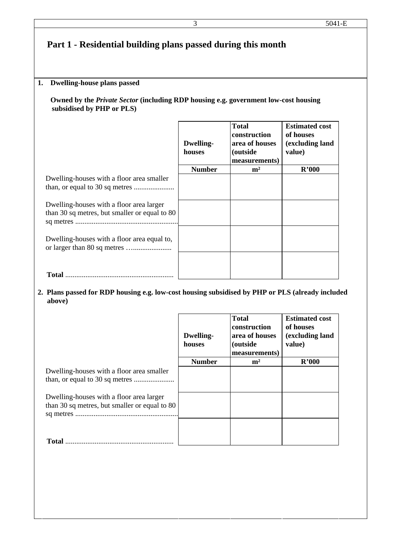# **Part 1 - Residential building plans passed during this month**

### **1. Dwelling-house plans passed**

 **Owned by the** *Private Sector* **(including RDP housing e.g. government low-cost housing subsidised by PHP or PLS)**

|                                                                                           | <b>Dwelling-</b><br>houses | <b>Total</b><br>construction<br>area of houses<br>(outside<br>measurements) | <b>Estimated cost</b><br>of houses<br>(excluding land<br>value) |
|-------------------------------------------------------------------------------------------|----------------------------|-----------------------------------------------------------------------------|-----------------------------------------------------------------|
|                                                                                           | <b>Number</b>              | m <sup>2</sup>                                                              | R'000                                                           |
| Dwelling-houses with a floor area smaller                                                 |                            |                                                                             |                                                                 |
| Dwelling-houses with a floor area larger<br>than 30 sq metres, but smaller or equal to 80 |                            |                                                                             |                                                                 |
| Dwelling-houses with a floor area equal to,                                               |                            |                                                                             |                                                                 |
| <b>Total</b>                                                                              |                            |                                                                             |                                                                 |

## **2. Plans passed for RDP housing e.g. low-cost housing subsidised by PHP or PLS (already included above)**

|                                               | <b>Dwelling-</b><br>houses | <b>Total</b><br>construction<br>area of houses<br><i>(outside)</i><br>measurements) | <b>Estimated cost</b><br>of houses<br>(excluding land<br>value) |
|-----------------------------------------------|----------------------------|-------------------------------------------------------------------------------------|-----------------------------------------------------------------|
|                                               | <b>Number</b>              | m <sup>2</sup>                                                                      | R'000                                                           |
| Dwelling-houses with a floor area smaller     |                            |                                                                                     |                                                                 |
| Dwelling-houses with a floor area larger      |                            |                                                                                     |                                                                 |
| than 30 sq metres, but smaller or equal to 80 |                            |                                                                                     |                                                                 |
|                                               |                            |                                                                                     |                                                                 |
| <b>Total</b>                                  |                            |                                                                                     |                                                                 |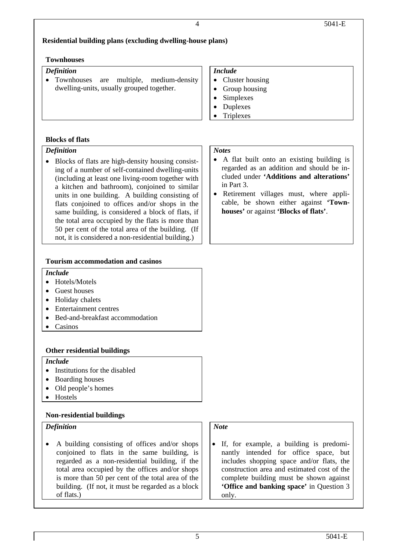# **Residential building plans (excluding dwelling-house plans)**

### **Townhouses**

### *Definition*

• Townhouses are multiple, medium-density dwelling-units, usually grouped together.

# *Include*

- Cluster housing
- Group housing

• A flat built onto an existing building is regarded as an addition and should be included under **'Additions and alterations'**

• Retirement villages must, where applicable, be shown either against **'Town-**

**houses'** or against **'Blocks of flats'**.

• Simplexes

in Part 3.

- Duplexes
- Triplexes

*Notes* 

# **Blocks of flats**

# *Definition*

• Blocks of flats are high-density housing consisting of a number of self-contained dwelling-units (including at least one living-room together with a kitchen and bathroom), conjoined to similar units in one building. A building consisting of flats conjoined to offices and/or shops in the same building, is considered a block of flats, if the total area occupied by the flats is more than 50 per cent of the total area of the building. (If not, it is considered a non-residential building.)

# **Tourism accommodation and casinos**

### *Include*

- Hotels/Motels
- Guest houses
- Holiday chalets
- Entertainment centres
- Bed-and-breakfast accommodation
- Casinos

# **Other residential buildings**

# *Include*

- Institutions for the disabled
- Boarding houses
- Old people's homes
- Hostels

# **Non-residential buildings**

# *Definition*

• A building consisting of offices and/or shops conjoined to flats in the same building, is regarded as a non-residential building, if the total area occupied by the offices and/or shops is more than 50 per cent of the total area of the building. (If not, it must be regarded as a block of flats.)

# *Note*

• If, for example, a building is predominantly intended for office space, but includes shopping space and/or flats, the construction area and estimated cost of the complete building must be shown against **'Office and banking space'** in Question 3 only.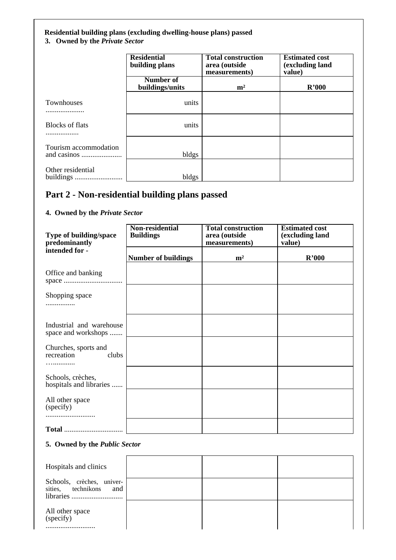## **Residential building plans (excluding dwelling-house plans) passed**

# **3. Owned by the** *Private Sector*

|                            | <b>Residential</b><br>building plans | <b>Total construction</b><br>area (outside<br>measurements) | <b>Estimated cost</b><br>(excluding land<br>value) |
|----------------------------|--------------------------------------|-------------------------------------------------------------|----------------------------------------------------|
|                            | Number of<br>buildings/units         | m <sup>2</sup>                                              | R'000                                              |
| <b>Townhouses</b>          | units                                |                                                             |                                                    |
| <b>Blocks of flats</b><br> | units                                |                                                             |                                                    |
| Tourism accommodation      | bldgs                                |                                                             |                                                    |
| Other residential          | bldgs                                |                                                             |                                                    |

# **Part 2 - Non-residential building plans passed**

## **4. Owned by the** *Private Sector*

| Type of building/space<br>predominantly         | Non-residential<br><b>Buildings</b> | <b>Total construction</b><br>area (outside<br>measurements) | <b>Estimated cost</b><br>(excluding land<br>value) |
|-------------------------------------------------|-------------------------------------|-------------------------------------------------------------|----------------------------------------------------|
| intended for -                                  | <b>Number of buildings</b>          | m <sup>2</sup>                                              | R'000                                              |
| Office and banking                              |                                     |                                                             |                                                    |
| Shopping space<br>                              |                                     |                                                             |                                                    |
| Industrial and warehouse<br>space and workshops |                                     |                                                             |                                                    |
| Churches, sports and<br>recreation<br>clubs     |                                     |                                                             |                                                    |
| Schools, crèches,<br>hospitals and libraries    |                                     |                                                             |                                                    |
| All other space<br>(specify)                    |                                     |                                                             |                                                    |
|                                                 |                                     |                                                             |                                                    |

### **5. Owned by the** *Public Sector*

| Hospitals and clinics                               |  |  |
|-----------------------------------------------------|--|--|
| Schools, crèches, univer-<br>sities, technikons and |  |  |
| All other space<br>(specify)                        |  |  |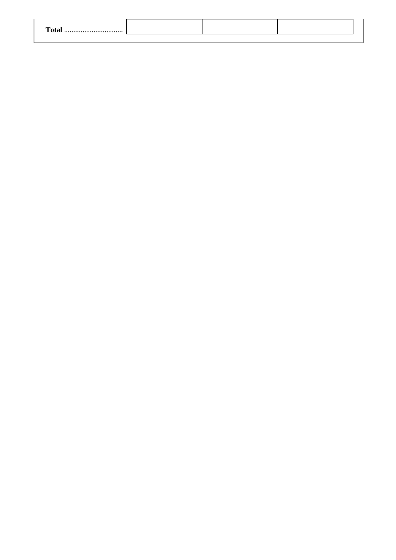| $T_{\alpha}$ |  |  |
|--------------|--|--|
|              |  |  |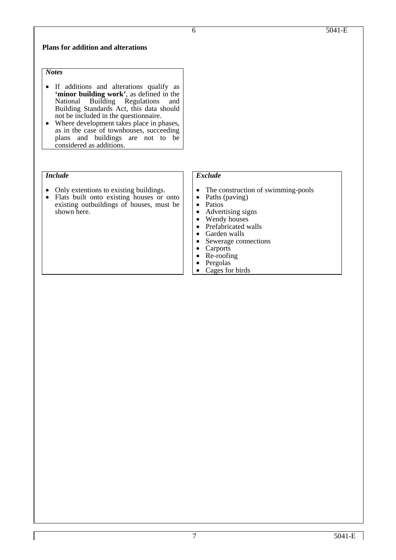### **Plans for addition and alterations**

# *Notes*

- If additions and alterations qualify as **'minor building work'**, as defined in the National Building Regulations and Building Regulations and Building Standards Act, this data should not be included in the questionnaire.
- Where development takes place in phases, as in the case of townhouses, succeeding plans and buildings are not to be considered as additions.

### *Include*

- Only extentions to existing buildings.
- Flats built onto existing houses or onto existing outbuildings of houses, must be shown here.

### *Exclude*

- The construction of swimming-pools
- Paths (paving) Patios
- 
- Advertising signs<br>• Wendy houses
- Wendy houses<br>• Prefabricated walls
- 
- Garden walls
- Sewerage connections Carports
- 
- Re-roofing<br>• Pergolas
- 
- Cages for birds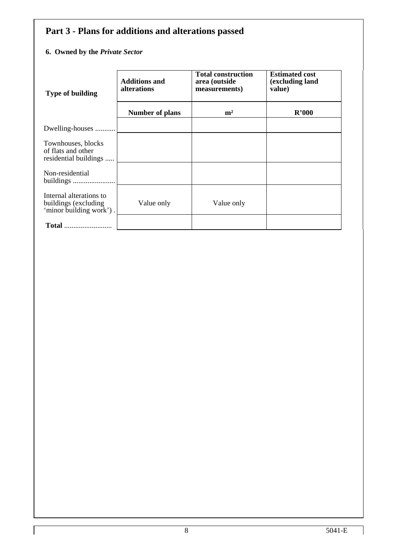# **Part 3 - Plans for additions and alterations passed**

# **6. Owned by the** *Private Sector*

| <b>Type of building</b>                                                    | <b>Additions and</b><br><b>alterations</b> | <b>Total construction</b><br>area (outside<br>measurements) | <b>Estimated cost</b><br>(excluding land<br>value) |
|----------------------------------------------------------------------------|--------------------------------------------|-------------------------------------------------------------|----------------------------------------------------|
|                                                                            | <b>Number of plans</b>                     | m <sup>2</sup>                                              | R'000                                              |
| Dwelling-houses                                                            |                                            |                                                             |                                                    |
| Townhouses, blocks<br>of flats and other<br>residential buildings          |                                            |                                                             |                                                    |
| Non-residential                                                            |                                            |                                                             |                                                    |
| Internal alterations to<br>buildings (excluding<br>'minor building work'). | Value only                                 | Value only                                                  |                                                    |
| <b>Total</b>                                                               |                                            |                                                             |                                                    |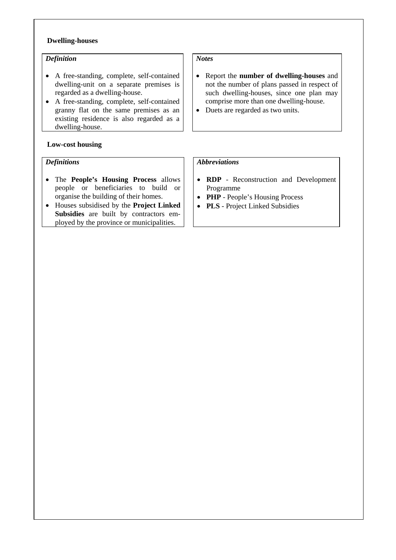### **Dwelling-houses**

### *Definition*

- A free-standing, complete, self-contained dwelling-unit on a separate premises is regarded as a dwelling-house.
- A free-standing, complete, self-contained granny flat on the same premises as an existing residence is also regarded as a dwelling-house.

### **Low-cost housing**

### *Definitions*

- The **People's Housing Process** allows people or beneficiaries to build or organise the building of their homes.
- Houses subsidised by the **Project Linked Subsidies** are built by contractors employed by the province or municipalities.

# *Notes*

- Report the **number of dwelling-houses** and not the number of plans passed in respect of such dwelling-houses, since one plan may comprise more than one dwelling-house.
- Duets are regarded as two units.

### *Abbreviations*

- **RDP**  Reconstruction and Development Programme
- **PHP** People's Housing Process
- **PLS** Project Linked Subsidies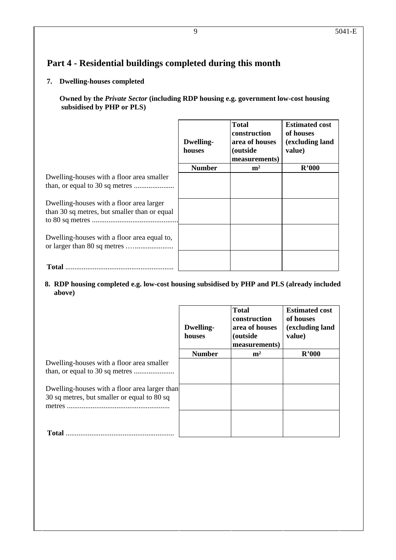# **Part 4 - Residential buildings completed during this month**

# **7. Dwelling-houses completed**

 **Owned by the** *Private Sector* **(including RDP housing e.g. government low-cost housing subsidised by PHP or PLS)**

|                                                                                          | <b>Dwelling-</b><br>houses | <b>Total</b><br>construction<br>area of houses<br><i>(outside)</i><br>measurements) | <b>Estimated cost</b><br>of houses<br>(excluding land<br>value) |
|------------------------------------------------------------------------------------------|----------------------------|-------------------------------------------------------------------------------------|-----------------------------------------------------------------|
|                                                                                          | <b>Number</b>              | m <sup>2</sup>                                                                      | R'000                                                           |
| Dwelling-houses with a floor area smaller                                                |                            |                                                                                     |                                                                 |
| Dwelling-houses with a floor area larger<br>than 30 sq metres, but smaller than or equal |                            |                                                                                     |                                                                 |
| Dwelling-houses with a floor area equal to,                                              |                            |                                                                                     |                                                                 |
| Total                                                                                    |                            |                                                                                     |                                                                 |

# **8. RDP housing completed e.g. low-cost housing subsidised by PHP and PLS (already included above)**

|                                                                                              | <b>Dwelling-</b><br>houses | <b>Total</b><br>construction<br>area of houses<br><i>(outside)</i><br>measurements) | <b>Estimated cost</b><br>of houses<br>(excluding land<br>value) |
|----------------------------------------------------------------------------------------------|----------------------------|-------------------------------------------------------------------------------------|-----------------------------------------------------------------|
|                                                                                              | <b>Number</b>              | m <sup>2</sup>                                                                      | R'000                                                           |
| Dwelling-houses with a floor area smaller                                                    |                            |                                                                                     |                                                                 |
| Dwelling-houses with a floor area larger than<br>30 sq metres, but smaller or equal to 80 sq |                            |                                                                                     |                                                                 |
| <b>Total</b>                                                                                 |                            |                                                                                     |                                                                 |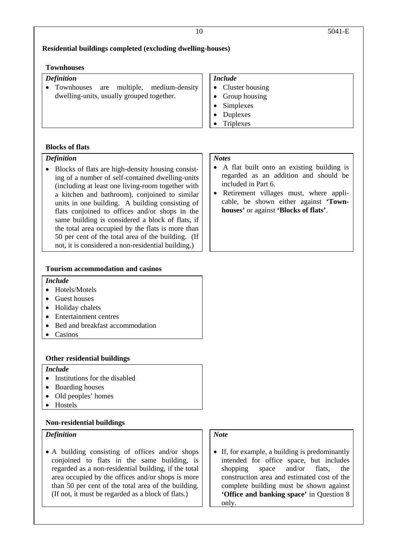### **Residential buildings completed (excluding dwelling-houses)**

### **Townhouses**

# *Definition*

• Townhouses are multiple, medium-density dwelling-units, usually grouped together.

### *Include*

- Cluster housing
- Group housing
- Simplexes
- Duplexes
- Triplexes

### **Blocks of flats**

### *Definition*

• Blocks of flats are high-density housing consisting of a number of self-contained dwelling-units (including at least one living-room together with a kitchen and bathroom), conjoined to similar units in one building. A building consisting of flats conjoined to offices and/or shops in the same building is considered a block of flats, if the total area occupied by the flats is more than 50 per cent of the total area of the building. (If not, it is considered a non-residential building.)

### **Tourism accommodation and casinos**

### *Include*

- Hotels/Motels
- Guest houses
- Holiday chalets
- Entertainment centres
- Bed and breakfast accommodation
- Casinos

### **Other residential buildings**

### *Include*

- Institutions for the disabled
- Boarding houses
- Old peoples' homes
- Hostels

### **Non-residential buildings**

### *Definition*

• A building consisting of offices and/or shops conjoined to flats in the same building, is regarded as a non-residential building, if the total area occupied by the offices and/or shops is more than 50 per cent of the total area of the building. (If not, it must be regarded as a block of flats.)

# *Note*

• If, for example, a building is predominantly intended for office space, but includes shopping space and/or flats, the construction area and estimated cost of the complete building must be shown against **'Office and banking space'** in Question 8 only.

# *Notes*

- A flat built onto an existing building is regarded as an addition and should be included in Part 6.
- Retirement villages must, where applicable, be shown either against **'Townhouses'** or against **'Blocks of flats'**.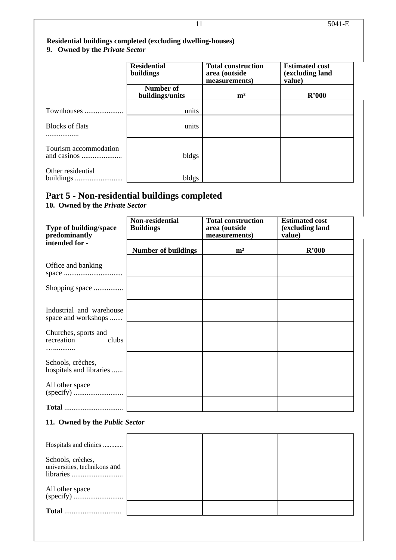# **Residential buildings completed (excluding dwelling-houses) 9. Owned by the** *Private Sector*

|                        | <b>Residential</b><br>buildings | <b>Total construction</b><br>area (outside<br>measurements) | <b>Estimated cost</b><br>(excluding land<br>value) |
|------------------------|---------------------------------|-------------------------------------------------------------|----------------------------------------------------|
|                        | Number of<br>buildings/units    | m <sup>2</sup>                                              | R'000                                              |
| Townhouses             | units                           |                                                             |                                                    |
| <b>Blocks of flats</b> | units                           |                                                             |                                                    |
| Tourism accommodation  | bldgs                           |                                                             |                                                    |
| Other residential      | bldgs                           |                                                             |                                                    |

# **Part 5 - Non-residential buildings completed**

**10. Owned by the** *Private Sector* 

| Type of building/space<br>predominantly         | Non-residential<br><b>Buildings</b> | <b>Total construction</b><br>area (outside<br>measurements) | <b>Estimated cost</b><br>(excluding land<br>value) |
|-------------------------------------------------|-------------------------------------|-------------------------------------------------------------|----------------------------------------------------|
| intended for -                                  | <b>Number of buildings</b>          | m <sup>2</sup>                                              | R'000                                              |
| Office and banking                              |                                     |                                                             |                                                    |
| Shopping space                                  |                                     |                                                             |                                                    |
| Industrial and warehouse<br>space and workshops |                                     |                                                             |                                                    |
| Churches, sports and<br>recreation<br>clubs     |                                     |                                                             |                                                    |
| Schools, crèches,<br>hospitals and libraries    |                                     |                                                             |                                                    |
| All other space                                 |                                     |                                                             |                                                    |
| $\textbf{Total}$                                |                                     |                                                             |                                                    |

# **11. Owned by the** *Public Sector*

| Hospitals and clinics                             |  |  |
|---------------------------------------------------|--|--|
| Schools, crèches,<br>universities, technikons and |  |  |
|                                                   |  |  |
| <b>Total</b>                                      |  |  |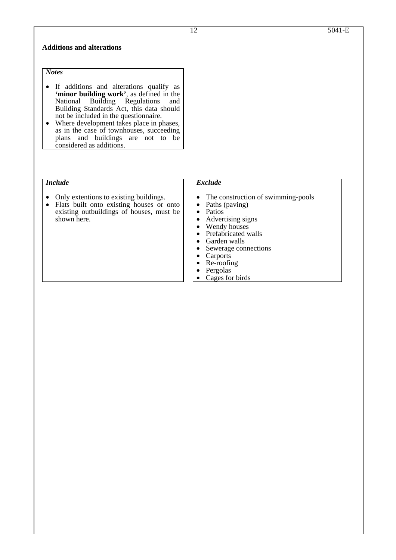### **Additions and alterations**

## *Notes*

- If additions and alterations qualify as **'minor building work'**, as defined in the National Building Regulations and Building Regulations and Building Standards Act, this data should not be included in the questionnaire.
- Where development takes place in phases, as in the case of townhouses, succeeding plans and buildings are not to be considered as additions.

### *Include*

- Only extentions to existing buildings. Flats built onto existing houses or onto
- existing outbuildings of houses, must be shown here.

# *Exclude*

- The construction of swimming-pools<br>• Paths (paving)
- 
- Patios
- Advertising signs Wendy houses
- 
- Prefabricated walls<br>• Garden walls
- 
- Garden walls<br>• Sewerage connections
- Carports<br>• Re-roofing
- 
- Pergolas
- Cages for birds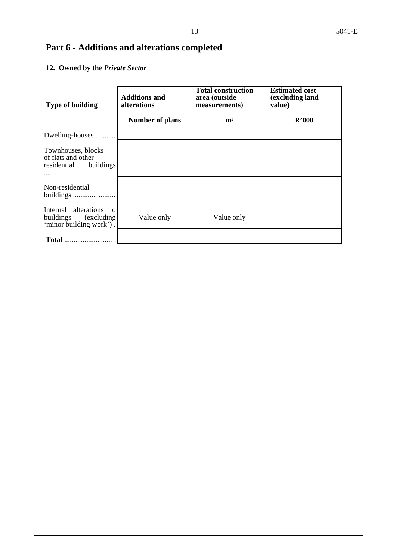# **Part 6 - Additions and alterations completed**

# **12. Owned by the** *Private Sector*

| <b>Type of building</b>                                                     | <b>Additions and</b><br>alterations | <b>Total construction</b><br>area (outside<br>measurements) | <b>Estimated cost</b><br>(excluding land<br>value) |
|-----------------------------------------------------------------------------|-------------------------------------|-------------------------------------------------------------|----------------------------------------------------|
|                                                                             | Number of plans                     | m <sup>2</sup>                                              | R'000                                              |
| Dwelling-houses                                                             |                                     |                                                             |                                                    |
| Townhouses, blocks<br>of flats and other<br>residential<br>buildings        |                                     |                                                             |                                                    |
| Non-residential<br>buildings                                                |                                     |                                                             |                                                    |
| Internal alterations to<br>buildings (excluding)<br>'minor building work'). | Value only                          | Value only                                                  |                                                    |
| <b>Total</b>                                                                |                                     |                                                             |                                                    |